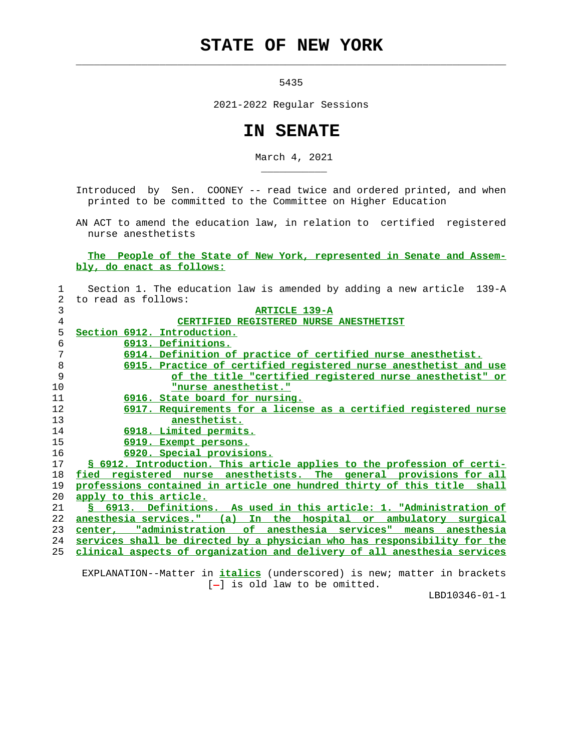## **STATE OF NEW YORK**

 $\mathcal{L}_\text{max} = \frac{1}{2} \sum_{i=1}^{n} \frac{1}{2} \sum_{i=1}^{n} \frac{1}{2} \sum_{i=1}^{n} \frac{1}{2} \sum_{i=1}^{n} \frac{1}{2} \sum_{i=1}^{n} \frac{1}{2} \sum_{i=1}^{n} \frac{1}{2} \sum_{i=1}^{n} \frac{1}{2} \sum_{i=1}^{n} \frac{1}{2} \sum_{i=1}^{n} \frac{1}{2} \sum_{i=1}^{n} \frac{1}{2} \sum_{i=1}^{n} \frac{1}{2} \sum_{i=1}^{n} \frac{1$ 

\_\_\_\_\_\_\_\_\_\_\_

5435

2021-2022 Regular Sessions

## **IN SENATE**

March 4, 2021

 Introduced by Sen. COONEY -- read twice and ordered printed, and when printed to be committed to the Committee on Higher Education

 AN ACT to amend the education law, in relation to certified registered nurse anesthetists

 **The People of the State of New York, represented in Senate and Assem bly, do enact as follows:**

| $\mathbf{1}$   | Section 1. The education law is amended by adding a new article 139-A      |
|----------------|----------------------------------------------------------------------------|
| $\overline{2}$ | to read as follows:                                                        |
| 3              | <b>ARTICLE 139-A</b>                                                       |
| 4              | CERTIFIED REGISTERED NURSE ANESTHETIST                                     |
| 5              | Section 6912. Introduction.                                                |
| 6              | 6913. Definitions.                                                         |
| 7              | 6914. Definition of practice of certified nurse anesthetist.               |
| 8              | 6915. Practice of certified registered nurse anesthetist and use           |
| 9              | of the title "certified registered nurse anesthetist" or                   |
| 10             | "nurse anesthetist."                                                       |
| 11             | 6916. State board for nursing.                                             |
| 12             | 6917. Requirements for a license as a certified registered nurse           |
| 13             | anesthetist.                                                               |
| 14             | 6918. Limited permits.                                                     |
| 15             | 6919. Exempt persons.                                                      |
| 16             | 6920. Special provisions.                                                  |
| 17             | § 6912. Introduction. This article applies to the profession of certi-     |
| 18             | fied registered nurse anesthetists. The general provisions for all         |
| 19             | professions contained in article one hundred thirty of this title shall    |
| 20             | apply to this article.                                                     |
| 21             | <u>S 6913. Definitions. As used in this article: 1. "Administration of</u> |
| 22             | anesthesia services." (a) In the hospital or ambulatory surgical           |
| 23             | of anesthesia services" means anesthesia<br>center, "administration        |
| 24             | services shall be directed by a physician who has responsibility for the   |
| 25             | clinical aspects of organization and delivery of all anesthesia services   |
|                |                                                                            |

 EXPLANATION--Matter in **italics** (underscored) is new; matter in brackets [-] is old law to be omitted.

LBD10346-01-1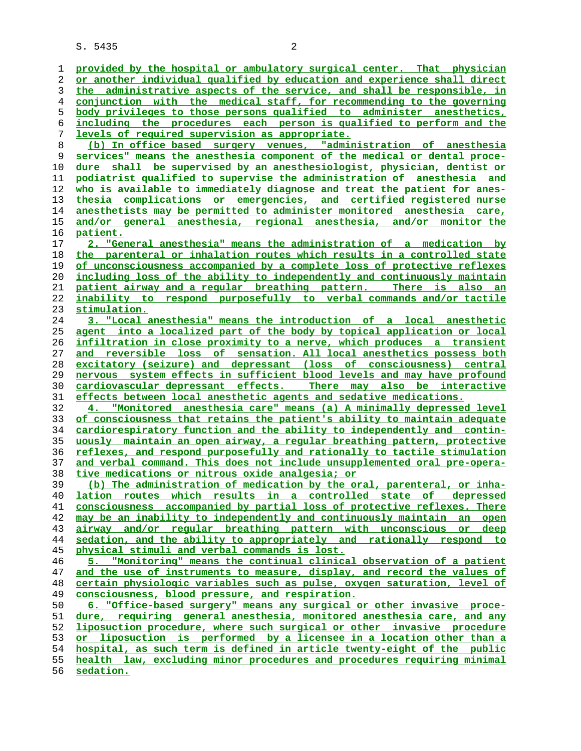**provided by the hospital or ambulatory surgical center. That physician or another individual qualified by education and experience shall direct the administrative aspects of the service, and shall be responsible, in conjunction with the medical staff, for recommending to the governing body privileges to those persons qualified to administer anesthetics, including the procedures each person is qualified to perform and the levels of required supervision as appropriate. (b) In office based surgery venues, "administration of anesthesia services" means the anesthesia component of the medical or dental proce- dure shall be supervised by an anesthesiologist, physician, dentist or podiatrist qualified to supervise the administration of anesthesia and who is available to immediately diagnose and treat the patient for anes- thesia complications or emergencies, and certified registered nurse anesthetists may be permitted to administer monitored anesthesia care, and/or general anesthesia, regional anesthesia, and/or monitor the patient. 2. "General anesthesia" means the administration of a medication by the parenteral or inhalation routes which results in a controlled state of unconsciousness accompanied by a complete loss of protective reflexes including loss of the ability to independently and continuously maintain patient airway and a regular breathing pattern. There is also an inability to respond purposefully to verbal commands and/or tactile stimulation. 3. "Local anesthesia" means the introduction of a local anesthetic agent into a localized part of the body by topical application or local infiltration in close proximity to a nerve, which produces a transient and reversible loss of sensation. All local anesthetics possess both excitatory (seizure) and depressant (loss of consciousness) central nervous system effects in sufficient blood levels and may have profound cardiovascular depressant effects. There may also be interactive effects between local anesthetic agents and sedative medications. 4. "Monitored anesthesia care" means (a) A minimally depressed level of consciousness that retains the patient's ability to maintain adequate cardiorespiratory function and the ability to independently and contin- uously maintain an open airway, a regular breathing pattern, protective reflexes, and respond purposefully and rationally to tactile stimulation and verbal command. This does not include unsupplemented oral pre-opera- tive medications or nitrous oxide analgesia; or (b) The administration of medication by the oral, parenteral, or inha- lation routes which results in a controlled state of depressed consciousness accompanied by partial loss of protective reflexes. There may be an inability to independently and continuously maintain an open airway and/or regular breathing pattern with unconscious or deep sedation, and the ability to appropriately and rationally respond to physical stimuli and verbal commands is lost. 5. "Monitoring" means the continual clinical observation of a patient and the use of instruments to measure, display, and record the values of certain physiologic variables such as pulse, oxygen saturation, level of consciousness, blood pressure, and respiration. 6. "Office-based surgery" means any surgical or other invasive proce- dure, requiring general anesthesia, monitored anesthesia care, and any liposuction procedure, where such surgical or other invasive procedure or liposuction is performed by a licensee in a location other than a hospital, as such term is defined in article twenty-eight of the public health law, excluding minor procedures and procedures requiring minimal sedation.**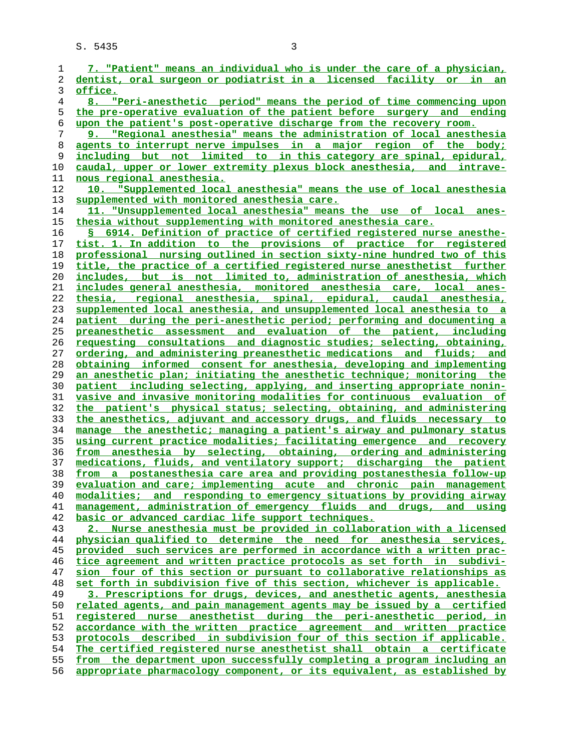| 1  | 7. "Patient" means an individual who is under the care of a physician,   |
|----|--------------------------------------------------------------------------|
| 2  | dentist, oral surgeon or podiatrist in a licensed facility or in<br>an   |
| 3  | office.                                                                  |
|    |                                                                          |
| 4  | "Peri-anesthetic period" means the period of time commencing upon<br>8.  |
| 5  | the pre-operative evaluation of the patient before surgery and ending    |
| 6  | upon the patient's post-operative discharge from the recovery room.      |
| 7  | 9. "Regional anesthesia" means the administration of local anesthesia    |
| 8  | agents to interrupt nerve impulses in a major region of the body;        |
| 9  | including but not limited to in this category are spinal, epidural,      |
| 10 | caudal, upper or lower extremity plexus block anesthesia, and intrave-   |
| 11 | nous regional anesthesia.                                                |
| 12 | 10. "Supplemented local anesthesia" means the use of local anesthesia    |
| 13 | supplemented with monitored anesthesia care.                             |
| 14 | 11. "Unsupplemented local anesthesia" means the use of local<br>anes-    |
| 15 | thesia without supplementing with monitored anesthesia care.             |
| 16 | \$ 6914. Definition of practice of certified registered nurse anesthe-   |
| 17 | tist. 1. In addition to the provisions of practice for registered        |
|    |                                                                          |
| 18 | professional nursing outlined in section sixty-nine hundred two of this  |
| 19 | title, the practice of a certified registered nurse anesthetist further  |
| 20 | includes, but is not limited to, administration of anesthesia, which     |
| 21 | includes general anesthesia, monitored anesthesia care, local anes-      |
| 22 | thesia, regional anesthesia, spinal, epidural, caudal anesthesia,        |
| 23 | supplemented local anesthesia, and unsupplemented local anesthesia to a  |
| 24 | patient during the peri-anesthetic period; performing and documenting a  |
| 25 | preanesthetic assessment and evaluation of the patient, including        |
| 26 | requesting consultations and diagnostic studies; selecting, obtaining,   |
| 27 | ordering, and administering preanesthetic medications and fluids; and    |
| 28 | obtaining informed consent for anesthesia, developing and implementing   |
| 29 | an anesthetic plan; initiating the anesthetic technique; monitoring the  |
| 30 | patient including selecting, applying, and inserting appropriate nonin-  |
| 31 | vasive and invasive monitoring modalities for continuous evaluation of   |
| 32 | the patient's physical status; selecting, obtaining, and administering   |
| 33 | the anesthetics, adjuvant and accessory drugs, and fluids necessary to   |
| 34 | manage the anesthetic; managing a patient's airway and pulmonary status  |
| 35 | using current practice modalities; facilitating emergence and recovery   |
| 36 | from anesthesia by selecting, obtaining, ordering and administering      |
| 37 | medications, fluids, and ventilatory support; discharging the patient    |
| 38 | from a postanesthesia care area and providing postanesthesia follow-up   |
| 39 | evaluation and care; implementing acute and chronic pain management      |
| 40 | modalities; and responding to emergency situations by providing airway   |
| 41 | management, administration of emergency fluids and drugs, and using      |
| 42 | basic or advanced cardiac life support techniques.                       |
| 43 | 2. Nurse anesthesia must be provided in collaboration with a licensed    |
| 44 | physician qualified to determine the need for anesthesia services,       |
| 45 | provided such services are performed in accordance with a written prac-  |
| 46 | tice agreement and written practice protocols as set forth in subdivi-   |
| 47 | sion four of this section or pursuant to collaborative relationships as  |
| 48 | set forth in subdivision five of this section, whichever is applicable.  |
| 49 | 3. Prescriptions for drugs, devices, and anesthetic agents, anesthesia   |
| 50 | related agents, and pain management agents may be issued by a certified  |
| 51 | registered nurse anesthetist during the peri-anesthetic period, in       |
| 52 | accordance with the written practice agreement and written practice      |
| 53 | protocols described in subdivision four of this section if applicable.   |
|    |                                                                          |
| 54 | The certified registered nurse anesthetist shall obtain a certificate    |
| 55 | from the department upon successfully completing a program including an  |
| 56 | appropriate pharmacology component, or its equivalent, as established by |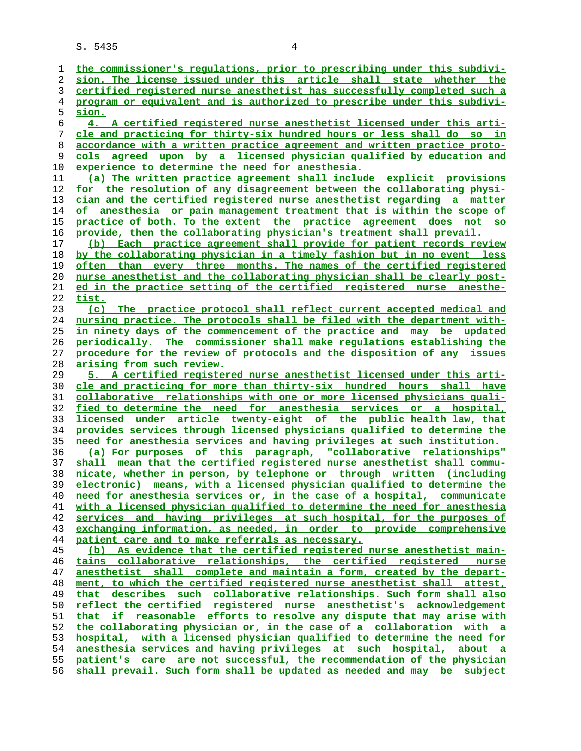**the commissioner's regulations, prior to prescribing under this subdivi- sion. The license issued under this article shall state whether the certified registered nurse anesthetist has successfully completed such a program or equivalent and is authorized to prescribe under this subdivi- sion. 4. A certified registered nurse anesthetist licensed under this arti- cle and practicing for thirty-six hundred hours or less shall do so in accordance with a written practice agreement and written practice proto- cols agreed upon by a licensed physician qualified by education and experience to determine the need for anesthesia. (a) The written practice agreement shall include explicit provisions for the resolution of any disagreement between the collaborating physi- cian and the certified registered nurse anesthetist regarding a matter of anesthesia or pain management treatment that is within the scope of practice of both. To the extent the practice agreement does not so provide, then the collaborating physician's treatment shall prevail. (b) Each practice agreement shall provide for patient records review by the collaborating physician in a timely fashion but in no event less often than every three months. The names of the certified registered nurse anesthetist and the collaborating physician shall be clearly post- ed in the practice setting of the certified registered nurse anesthe- tist. (c) The practice protocol shall reflect current accepted medical and nursing practice. The protocols shall be filed with the department with- in ninety days of the commencement of the practice and may be updated periodically. The commissioner shall make regulations establishing the procedure for the review of protocols and the disposition of any issues arising from such review. 5. A certified registered nurse anesthetist licensed under this arti- cle and practicing for more than thirty-six hundred hours shall have collaborative relationships with one or more licensed physicians quali- fied to determine the need for anesthesia services or a hospital, licensed under article twenty-eight of the public health law, that provides services through licensed physicians qualified to determine the need for anesthesia services and having privileges at such institution. (a) For purposes of this paragraph, "collaborative relationships" shall mean that the certified registered nurse anesthetist shall commu- nicate, whether in person, by telephone or through written (including electronic) means, with a licensed physician qualified to determine the need for anesthesia services or, in the case of a hospital, communicate with a licensed physician qualified to determine the need for anesthesia services and having privileges at such hospital, for the purposes of exchanging information, as needed, in order to provide comprehensive patient care and to make referrals as necessary. (b) As evidence that the certified registered nurse anesthetist main- tains collaborative relationships, the certified registered nurse anesthetist shall complete and maintain a form, created by the depart- ment, to which the certified registered nurse anesthetist shall attest, that describes such collaborative relationships. Such form shall also reflect the certified registered nurse anesthetist's acknowledgement that if reasonable efforts to resolve any dispute that may arise with the collaborating physician or, in the case of a collaboration with a hospital, with a licensed physician qualified to determine the need for anesthesia services and having privileges at such hospital, about a patient's care are not successful, the recommendation of the physician shall prevail. Such form shall be updated as needed and may be subject**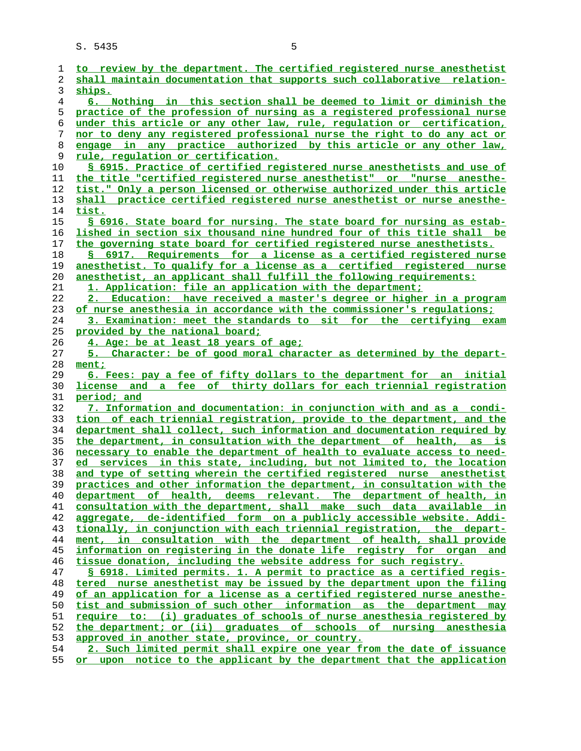| 1  | to review by the department. The certified registered nurse anesthetist     |
|----|-----------------------------------------------------------------------------|
| 2  | shall maintain documentation that supports such collaborative relation-     |
| 3  | ships.                                                                      |
| 4  | <u>6. Nothing in this section shall be deemed to limit or diminish the</u>  |
| 5  | practice of the profession of nursing as a registered professional nurse    |
| 6  | under this article or any other law, rule, regulation or certification,     |
| 7  | nor to deny any registered professional nurse the right to do any act or    |
| 8  | engage in any practice authorized by this article or any other law,         |
| 9  | rule, regulation or certification.                                          |
| 10 | § 6915. Practice of certified registered nurse anesthetists and use of      |
| 11 | the title "certified registered nurse anesthetist" or "nurse anesthe-       |
| 12 | tist." Only a person licensed or otherwise authorized under this article    |
| 13 | shall practice certified registered nurse anesthetist or nurse anesthe-     |
| 14 | tist.                                                                       |
| 15 | § 6916. State board for nursing. The state board for nursing as estab-      |
| 16 | lished in section six thousand nine hundred four of this title shall be     |
| 17 | the governing state board for certified registered nurse anesthetists.      |
| 18 | § 6917. Requirements for a license as a certified registered nurse          |
| 19 | anesthetist. To qualify for a license as a certified registered nurse       |
|    |                                                                             |
| 20 | anesthetist, an applicant shall fulfill the following requirements:         |
| 21 | 1. Application: file an application with the department;                    |
| 22 | 2. Education: have received a master's degree or higher in a program        |
| 23 | of nurse anesthesia in accordance with the commissioner's regulations;      |
| 24 | 3. Examination: meet the standards to sit for the certifying exam           |
| 25 | provided by the national board;                                             |
| 26 | 4. Age: be at least 18 years of age;                                        |
| 27 | 5. Character: be of good moral character as determined by the depart-       |
| 28 | ment;                                                                       |
| 29 | <u>6. Fees: pay a fee of fifty dollars to the department for an initial</u> |
| 30 | license and a fee of thirty dollars for each triennial registration         |
| 31 | period; and                                                                 |
| 32 | 7. Information and documentation: in conjunction with and as a condi-       |
| 33 | tion of each triennial registration, provide to the department, and the     |
| 34 | department shall collect, such information and documentation required by    |
| 35 | the department, in consultation with the department of health, as is        |
| 36 | necessary to enable the department of health to evaluate access to need-    |
| 37 | ed services in this state, including, but not limited to, the location      |
| 38 | and type of setting wherein the certified registered nurse anesthetist      |
| 39 | practices and other information the department, in consultation with the    |
| 40 | department of health, deems relevant. The department of health, in          |
| 41 | consultation with the department, shall make such data available in         |
| 42 | aggregate, de-identified form on a publicly accessible website. Addi-       |
| 43 | tionally, in conjunction with each triennial registration, the depart-      |
| 44 | ment, in consultation with the department of health, shall provide          |
| 45 | information on registering in the donate life registry for organ<br>and     |
| 46 | tissue donation, including the website address for such registry.           |
| 47 | § 6918. Limited permits. 1. A permit to practice as a certified regis-      |
| 48 | tered nurse anesthetist may be issued by the department upon the filing     |
| 49 | of an application for a license as a certified registered nurse anesthe-    |
| 50 | tist and submission of such other information as the department may         |
| 51 | require to: (i) graduates of schools of nurse anesthesia registered by      |
| 52 | the department; or (ii) graduates of schools of nursing anesthesia          |
| 53 | approved in another state, province, or country.                            |
| 54 | 2. Such limited permit shall expire one year from the date of issuance      |
|    |                                                                             |

**or upon notice to the applicant by the department that the application**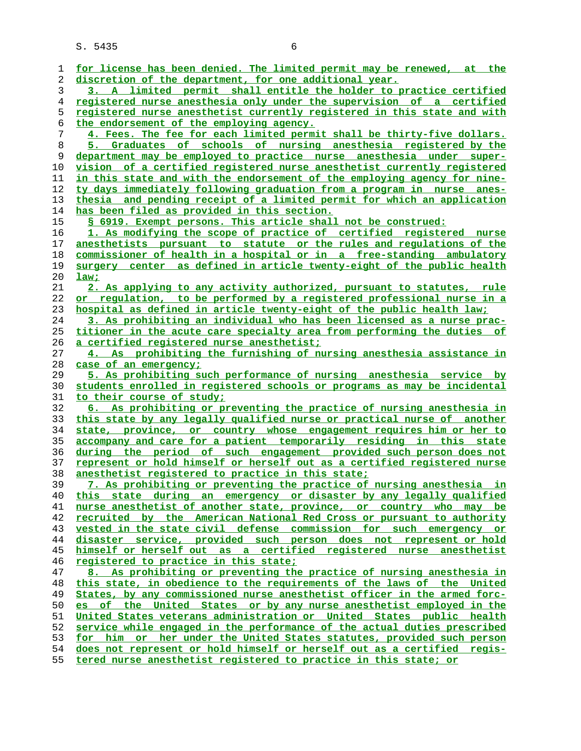| 1        | for license has been denied. The limited permit may be renewed, at the                                                                            |
|----------|---------------------------------------------------------------------------------------------------------------------------------------------------|
| 2        | discretion of the department, for one additional year.                                                                                            |
| 3        | 3. A limited permit shall entitle the holder to practice certified                                                                                |
| 4        | registered nurse anesthesia only under the supervision of a certified                                                                             |
| 5        | registered nurse anesthetist currently registered in this state and with                                                                          |
| 6        | the endorsement of the employing agency.                                                                                                          |
| 7        | 4. Fees. The fee for each limited permit shall be thirty-five dollars.                                                                            |
| 8        | 5. Graduates of schools of nursing anesthesia registered by the                                                                                   |
| 9        | department may be employed to practice nurse anesthesia under super-                                                                              |
| 10       | vision of a certified registered nurse anesthetist currently registered                                                                           |
| 11       | in this state and with the endorsement of the employing agency for nine-                                                                          |
| 12       | <u>ty days immediately following graduation from a program in nurse anes-</u>                                                                     |
| 13       | thesia and pending receipt of a limited permit for which an application                                                                           |
| 14       | <u>has been filed as provided in this section.</u>                                                                                                |
| 15       | § 6919. Exempt persons. This article shall not be construed:                                                                                      |
| 16       | 1. As modifying the scope of practice of certified registered nurse                                                                               |
| 17       | anesthetists pursuant to statute or the rules and regulations of the                                                                              |
| 18       | commissioner of health in a hospital or in a free-standing ambulatory                                                                             |
| 19       | surgery center as defined in article twenty-eight of the public health                                                                            |
| 20       | law;                                                                                                                                              |
| 21       | 2. As applying to any activity authorized, pursuant to statutes, rule                                                                             |
| 22       | <u>or regulation, to be performed by a registered professional nurse in a</u>                                                                     |
| 23       | hospital as defined in article twenty-eight of the public health law;                                                                             |
| 24       | 3. As prohibiting an individual who has been licensed as a nurse prac-                                                                            |
| 25       | titioner in the acute care specialty area from performing the duties of                                                                           |
| 26       | <u>a certified registered nurse anesthetist;</u>                                                                                                  |
| 27       | 4. As prohibiting the furnishing of nursing anesthesia assistance in                                                                              |
| 28       | case of an emergency;                                                                                                                             |
|          |                                                                                                                                                   |
| 29<br>30 | 5. As prohibiting such performance of nursing anesthesia service by<br>students enrolled in registered schools or programs as may be incidental   |
| 31       | to their course of study;                                                                                                                         |
| 32       | 6. As prohibiting or preventing the practice of nursing anesthesia in                                                                             |
| 33       | this state by any legally qualified nurse or practical nurse of another                                                                           |
| 34       | state, province, or country whose engagement requires him or her to                                                                               |
| 35       | accompany and care for a patient temporarily residing in this state                                                                               |
| 36       | <u>during the period of such engagement provided such person-does not</u>                                                                         |
| 37       | <u>represent or hold himself or herself out as a certified registered nurse</u>                                                                   |
| 38       | anesthetist registered to practice in this state;                                                                                                 |
| 39       | 7. As prohibiting or preventing the practice of nursing anesthesia in                                                                             |
| 40       | this state during an emergency or disaster by any legally qualified                                                                               |
| 41       | nurse anesthetist of another state, province, or country who may be                                                                               |
| 42       | recruited by the American National Red Cross or pursuant to authority                                                                             |
| 43       | vested in the state civil defense commission for such emergency or                                                                                |
| 44       | disaster service, provided such person does not represent or hold                                                                                 |
| 45       | himself or herself out as a certified registered nurse anesthetist                                                                                |
| 46       | registered to practice in this state;                                                                                                             |
| 47       | 8. As prohibiting or preventing the practice of nursing anesthesia in                                                                             |
| 48       | this state, in obedience to the requirements of the laws of the United                                                                            |
| 49       | States, by any commissioned nurse anesthetist officer in the armed forc-                                                                          |
| 50       | of the United States or by any nurse anesthetist employed in the<br>es                                                                            |
| 51       | United States veterans administration or United States public health                                                                              |
|          |                                                                                                                                                   |
| 52<br>53 | service while engaged in the performance of the actual duties prescribed<br>for him or her under the United States statutes, provided such person |
|          |                                                                                                                                                   |
| 54       | does not represent or hold himself or herself out as a certified regis-                                                                           |
| 55       | tered nurse anesthetist registered to practice in this state; or                                                                                  |